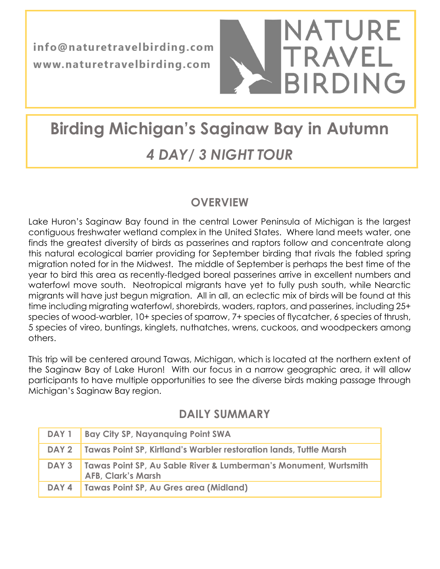info@naturetravelbirding.com www.naturetravelbirding.com



# Birding Michigan's Saginaw Bay in Autumn 4 DAY/ 3 NIGHT TOUR

# **OVERVIEW**

Lake Huron's Saginaw Bay found in the central Lower Peninsula of Michigan is the largest contiguous freshwater wetland complex in the United States. Where land meets water, one finds the greatest diversity of birds as passerines and raptors follow and concentrate along this natural ecological barrier providing for September birding that rivals the fabled spring migration noted for in the Midwest. The middle of September is perhaps the best time of the year to bird this area as recently-fledged boreal passerines arrive in excellent numbers and waterfowl move south. Neotropical migrants have yet to fully push south, while Nearctic migrants will have just begun migration. All in all, an eclectic mix of birds will be found at this time including migrating waterfowl, shorebirds, waders, raptors, and passerines, including 25+ species of wood-warbler, 10+ species of sparrow, 7+ species of flycatcher, 6 species of thrush, 5 species of vireo, buntings, kinglets, nuthatches, wrens, cuckoos, and woodpeckers among others.

This trip will be centered around Tawas, Michigan, which is located at the northern extent of the Saginaw Bay of Lake Huron! With our focus in a narrow geographic area, it will allow participants to have multiple opportunities to see the diverse birds making passage through Michigan's Saginaw Bay region.

|       | DAY 1   Bay City SP, Nayanquing Point SWA                                                             |
|-------|-------------------------------------------------------------------------------------------------------|
|       | DAY 2 Tawas Point SP, Kirtland's Warbler restoration lands, Tuttle Marsh                              |
|       | DAY 3   Tawas Point SP, Au Sable River & Lumberman's Monument, Wurtsmith<br><b>AFB, Clark's Marsh</b> |
| DAY 4 | Tawas Point SP, Au Gres area (Midland)                                                                |

# DAILY SUMMARY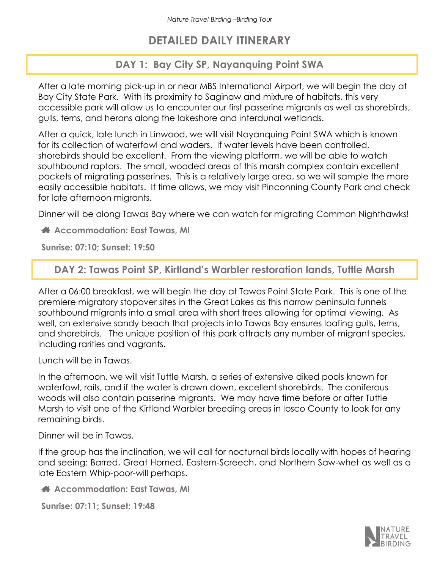## DETAILED DAILY ITINERARY

#### DAY 1: Bay City SP, Nayanquing Point SWA

After a late morning pick-up in or near MBS International Airport, we will begin the day at Bay City State Park. With its proximity to Saginaw and mixture of habitats, this very accessible park will allow us to encounter our first passerine migrants as well as shorebirds, gulls, terns, and herons along the lakeshore and interdunal wetlands.

After a quick, late lunch in Linwood, we will visit Nayanquing Point SWA which is known for its collection of waterfowl and waders. If water levels have been controlled, shorebirds should be excellent. From the viewing platform, we will be able to watch southbound raptors. The small, wooded areas of this marsh complex contain excellent pockets of migrating passerines. This is a relatively large area, so we will sample the more easily accessible habitats. If time allows, we may visit Pinconning County Park and check for late afternoon migrants.

Dinner will be along Tawas Bay where we can watch for migrating Common Nighthawks!

Accommodation: East Tawas, MI

Sunrise: 07:10; Sunset: 19:50

#### DAY 2: Tawas Point SP, Kirtland's Warbler restoration lands, Tuttle Marsh

After a 06:00 breakfast, we will begin the day at Tawas Point State Park. This is one of the premiere migratory stopover sites in the Great Lakes as this narrow peninsula funnels southbound migrants into a small area with short trees allowing for optimal viewing. As well, an extensive sandy beach that projects into Tawas Bay ensures loafing gulls, terns, and shorebirds. The unique position of this park attracts any number of migrant species, including rarities and vagrants.

Lunch will be in Tawas.

In the afternoon, we will visit Tuttle Marsh, a series of extensive diked pools known for waterfowl, rails, and if the water is drawn down, excellent shorebirds. The coniferous woods will also contain passerine migrants. We may have time before or after Tuttle Marsh to visit one of the Kirtland Warbler breeding areas in Iosco County to look for any remaining birds.

Dinner will be in Tawas.

If the group has the inclination, we will call for nocturnal birds locally with hopes of hearing and seeing: Barred, Great Horned, Eastern-Screech, and Northern Saw-whet as well as a late Eastern Whip-poor-will perhaps.

Accommodation: East Tawas, MI

Sunrise: 07:11; Sunset: 19:48

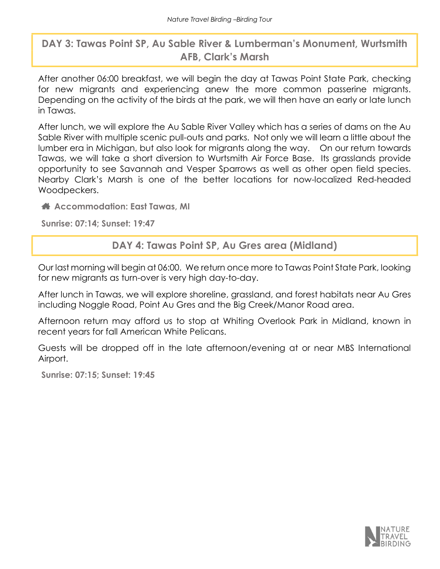### DAY 3: Tawas Point SP, Au Sable River & Lumberman's Monument, Wurtsmith AFB, Clark's Marsh

After another 06:00 breakfast, we will begin the day at Tawas Point State Park, checking for new migrants and experiencing anew the more common passerine migrants. Depending on the activity of the birds at the park, we will then have an early or late lunch in Tawas.

After lunch, we will explore the Au Sable River Valley which has a series of dams on the Au Sable River with multiple scenic pull-outs and parks. Not only we will learn a little about the lumber era in Michigan, but also look for migrants along the way. On our return towards Tawas, we will take a short diversion to Wurtsmith Air Force Base. Its grasslands provide opportunity to see Savannah and Vesper Sparrows as well as other open field species. Nearby Clark's Marsh is one of the better locations for now-localized Red-headed Woodpeckers.

Accommodation: East Tawas, MI

Sunrise: 07:14; Sunset: 19:47

DAY 4: Tawas Point SP, Au Gres area (Midland)

Our last morning will begin at 06:00. We return once more to Tawas Point State Park, looking for new migrants as turn-over is very high day-to-day.

After lunch in Tawas, we will explore shoreline, grassland, and forest habitats near Au Gres including Noggle Road, Point Au Gres and the Big Creek/Manor Road area.

Afternoon return may afford us to stop at Whiting Overlook Park in Midland, known in recent years for fall American White Pelicans.

Guests will be dropped off in the late afternoon/evening at or near MBS International Airport.

Sunrise: 07:15; Sunset: 19:45

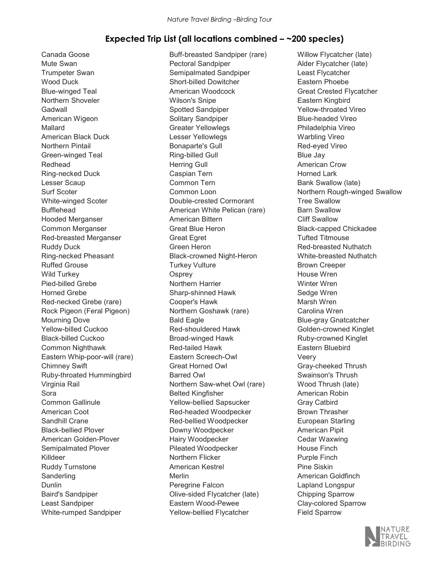#### Expected Trip List (all locations combined – ~200 species)

Canada Goose Mute Swan Trumpeter Swan Wood Duck Blue-winged Teal Northern Shoveler Gadwall American Wigeon Mallard American Black Duck Northern Pintail Green-winged Teal Redhead Ring-necked Duck Lesser Scaup Surf Scoter White-winged Scoter Bufflehead Hooded Merganser Common Merganser Red-breasted Merganser Ruddy Duck Ring-necked Pheasant Ruffed Grouse Wild Turkey Pied-billed Grebe Horned Grebe Red-necked Grebe (rare) Rock Pigeon (Feral Pigeon) Mourning Dove Yellow-billed Cuckoo Black-billed Cuckoo Common Nighthawk Eastern Whip-poor-will (rare) Chimney Swift Ruby-throated Hummingbird Virginia Rail Sora Common Gallinule American Coot Sandhill Crane Black-bellied Plover American Golden-Plover Semipalmated Plover Killdeer Ruddy Turnstone **Sanderling** Dunlin Baird's Sandpiper Least Sandpiper White-rumped Sandpiper

Buff-breasted Sandpiper (rare) Pectoral Sandpiper Semipalmated Sandpiper Short-billed Dowitcher American Woodcock Wilson's Snipe Spotted Sandpiper Solitary Sandpiper Greater Yellowlegs Lesser Yellowlegs Bonaparte's Gull Ring-billed Gull Herring Gull Caspian Tern Common Tern Common Loon Double-crested Cormorant American White Pelican (rare) American Bittern Great Blue Heron Great Egret Green Heron Black-crowned Night-Heron Turkey Vulture **Osprey** Northern Harrier Sharp-shinned Hawk Cooper's Hawk Northern Goshawk (rare) Bald Eagle Red-shouldered Hawk Broad-winged Hawk Red-tailed Hawk Eastern Screech-Owl Great Horned Owl Barred Owl Northern Saw-whet Owl (rare) Belted Kingfisher Yellow-bellied Sapsucker Red-headed Woodpecker Red-bellied Woodpecker Downy Woodpecker Hairy Woodpecker Pileated Woodpecker Northern Flicker American Kestrel Merlin Peregrine Falcon Olive-sided Flycatcher (late) Eastern Wood-Pewee Yellow-bellied Flycatcher

Willow Flycatcher (late) Alder Flycatcher (late) Least Flycatcher Eastern Phoebe Great Crested Flycatcher Eastern Kingbird Yellow-throated Vireo Blue-headed Vireo Philadelphia Vireo Warbling Vireo Red-eyed Vireo Blue Jay American Crow Horned Lark Bank Swallow (late) Northern Rough-winged Swallow Tree Swallow Barn Swallow Cliff Swallow Black-capped Chickadee Tufted Titmouse Red-breasted Nuthatch White-breasted Nuthatch Brown Creeper House Wren Winter Wren Sedge Wren Marsh Wren Carolina Wren Blue-gray Gnatcatcher Golden-crowned Kinglet Ruby-crowned Kinglet Eastern Bluebird Veery Gray-cheeked Thrush Swainson's Thrush Wood Thrush (late) American Robin Gray Catbird Brown Thrasher European Starling American Pipit Cedar Waxwing House Finch Purple Finch Pine Siskin American Goldfinch Lapland Longspur Chipping Sparrow Clay-colored Sparrow Field Sparrow